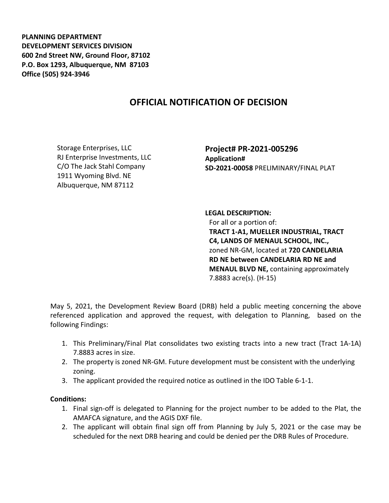**PLANNING DEPARTMENT DEVELOPMENT SERVICES DIVISION 600 2nd Street NW, Ground Floor, 87102 P.O. Box 1293, Albuquerque, NM 87103 Office (505) 924-3946** 

## **OFFICIAL NOTIFICATION OF DECISION**

Storage Enterprises, LLC RJ Enterprise Investments, LLC C/O The Jack Stahl Company 1911 Wyoming Blvd. NE Albuquerque, NM 87112

**Project# PR-2021-005296 Application# SD-2021-00058** PRELIMINARY/FINAL PLAT

**LEGAL DESCRIPTION:** For all or a portion of: **TRACT 1-A1, MUELLER INDUSTRIAL, TRACT C4, LANDS OF MENAUL SCHOOL, INC.,**  zoned NR-GM, located at **720 CANDELARIA RD NE between CANDELARIA RD NE and MENAUL BLVD NE,** containing approximately 7.8883 acre(s). (H-15)

May 5, 2021, the Development Review Board (DRB) held a public meeting concerning the above referenced application and approved the request, with delegation to Planning, based on the following Findings:

- 1. This Preliminary/Final Plat consolidates two existing tracts into a new tract (Tract 1A-1A) 7.8883 acres in size.
- 2. The property is zoned NR-GM. Future development must be consistent with the underlying zoning.
- 3. The applicant provided the required notice as outlined in the IDO Table 6-1-1.

## **Conditions:**

- 1. Final sign-off is delegated to Planning for the project number to be added to the Plat, the AMAFCA signature, and the AGIS DXF file.
- 2. The applicant will obtain final sign off from Planning by July 5, 2021 or the case may be scheduled for the next DRB hearing and could be denied per the DRB Rules of Procedure.